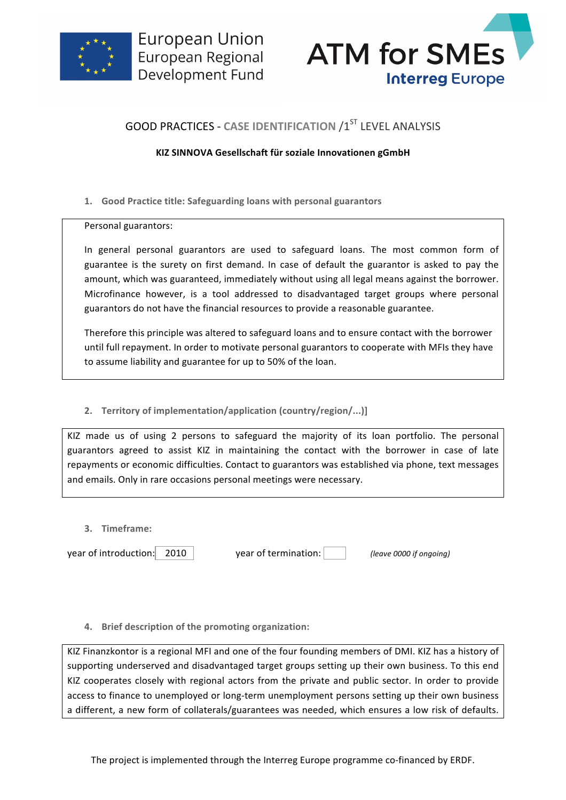



# **GOOD PRACTICES - CASE IDENTIFICATION /1ST LEVEL ANALYSIS**

## **KIZ SINNOVA Gesellschaft für soziale Innovationen gGmbH**

1. Good Practice title: Safeguarding loans with personal guarantors

Personal guarantors:

In general personal guarantors are used to safeguard loans. The most common form of guarantee is the surety on first demand. In case of default the guarantor is asked to pay the amount, which was guaranteed, immediately without using all legal means against the borrower. Microfinance however, is a tool addressed to disadvantaged target groups where personal guarantors do not have the financial resources to provide a reasonable guarantee.

Therefore this principle was altered to safeguard loans and to ensure contact with the borrower until full repayment. In order to motivate personal guarantors to cooperate with MFIs they have to assume liability and guarantee for up to 50% of the loan.

## **2. Territory of implementation/application (country/region/...)]**

KIZ made us of using 2 persons to safeguard the majority of its loan portfolio. The personal guarantors agreed to assist KIZ in maintaining the contact with the borrower in case of late repayments or economic difficulties. Contact to guarantors was established via phone, text messages and emails. Only in rare occasions personal meetings were necessary.

**3. Timeframe:**

year of introduction: 2010 vear of termination: *(leave 0000 if ongoing)* 

### **4.** Brief description of the promoting organization:

KIZ Finanzkontor is a regional MFI and one of the four founding members of DMI. KIZ has a history of supporting underserved and disadvantaged target groups setting up their own business. To this end KIZ cooperates closely with regional actors from the private and public sector. In order to provide access to finance to unemployed or long-term unemployment persons setting up their own business a different, a new form of collaterals/guarantees was needed, which ensures a low risk of defaults.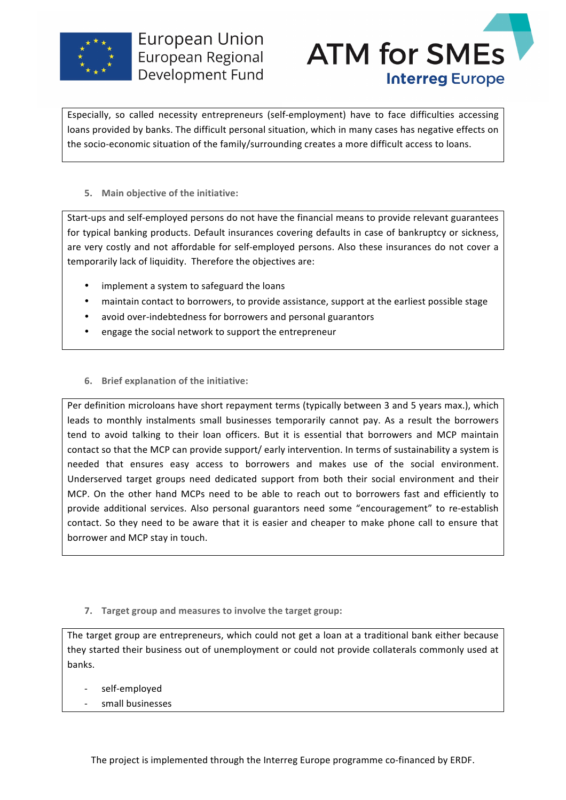



Especially, so called necessity entrepreneurs (self-employment) have to face difficulties accessing loans provided by banks. The difficult personal situation, which in many cases has negative effects on the socio-economic situation of the family/surrounding creates a more difficult access to loans.

### **5.** Main objective of the initiative:

Start-ups and self-employed persons do not have the financial means to provide relevant guarantees for typical banking products. Default insurances covering defaults in case of bankruptcy or sickness, are very costly and not affordable for self-employed persons. Also these insurances do not cover a temporarily lack of liquidity. Therefore the objectives are:

- implement a system to safeguard the loans
- maintain contact to borrowers, to provide assistance, support at the earliest possible stage
- avoid over-indebtedness for borrowers and personal guarantors
- engage the social network to support the entrepreneur
- **6.** Brief explanation of the initiative:

Per definition microloans have short repayment terms (typically between 3 and 5 years max.), which leads to monthly instalments small businesses temporarily cannot pay. As a result the borrowers tend to avoid talking to their loan officers. But it is essential that borrowers and MCP maintain contact so that the MCP can provide support/ early intervention. In terms of sustainability a system is needed that ensures easy access to borrowers and makes use of the social environment. Underserved target groups need dedicated support from both their social environment and their MCP. On the other hand MCPs need to be able to reach out to borrowers fast and efficiently to provide additional services. Also personal guarantors need some "encouragement" to re-establish contact. So they need to be aware that it is easier and cheaper to make phone call to ensure that borrower and MCP stay in touch.

**7.** Target group and measures to involve the target group:

The target group are entrepreneurs, which could not get a loan at a traditional bank either because they started their business out of unemployment or could not provide collaterals commonly used at banks.

- self-employed
- small businesses

The project is implemented through the Interreg Europe programme co-financed by ERDF.